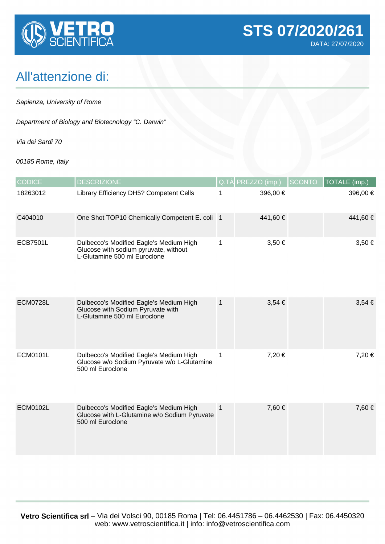

## All'attenzione di:

Sapienza, University of Rome

Department of Biology and Biotecnology "C. Darwin"

Via dei Sardi 70

00185 Rome, Italy

| <b>CODICE</b>   | <b>DESCRIZIONE</b>                                                                                               |                | Q.TÀ PREZZO (imp.) | <b>SCONTO</b> | TOTALE (imp.) |
|-----------------|------------------------------------------------------------------------------------------------------------------|----------------|--------------------|---------------|---------------|
| 18263012        | Library Efficiency DH5? Competent Cells                                                                          | 1              | 396,00 €           |               | 396,00 €      |
| C404010         | One Shot TOP10 Chemically Competent E. coli   1                                                                  |                | 441,60 €           |               | 441,60 €      |
| <b>ECB7501L</b> | Dulbecco's Modified Eagle's Medium High<br>Glucose with sodium pyruvate, without<br>L-Glutamine 500 ml Euroclone | 1              | $3,50 \in$         |               | $3,50 \in$    |
| <b>ECM0728L</b> | Dulbecco's Modified Eagle's Medium High<br>Glucose with Sodium Pyruvate with<br>L-Glutamine 500 ml Euroclone     | $\mathbf{1}$   | $3,54 \in$         |               | $3,54 \in$    |
| <b>ECM0101L</b> | Dulbecco's Modified Eagle's Medium High<br>Glucose w/o Sodium Pyruvate w/o L-Glutamine<br>500 ml Euroclone       | 1              | 7,20 €             |               | 7,20 €        |
| <b>ECM0102L</b> | Dulbecco's Modified Eagle's Medium High<br>Glucose with L-Glutamine w/o Sodium Pyruvate<br>500 ml Euroclone      | $\overline{1}$ | 7,60 €             |               | 7,60 €        |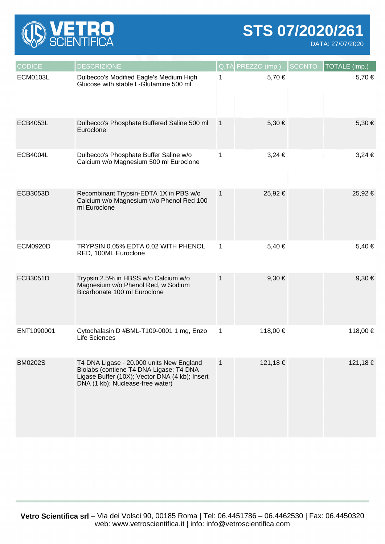

**STS 07/2020/261**

DATA: 27/07/2020

| <b>CODICE</b>   | <b>DESCRIZIONE</b>                                                                                                                                                        |                | Q.TÀ PREZZO (imp.) | <b>SCONTO</b> | TOTALE (imp.) |
|-----------------|---------------------------------------------------------------------------------------------------------------------------------------------------------------------------|----------------|--------------------|---------------|---------------|
| <b>ECM0103L</b> | Dulbecco's Modified Eagle's Medium High<br>Glucose with stable L-Glutamine 500 ml                                                                                         | 1              | 5,70 €             |               | 5,70 €        |
| <b>ECB4053L</b> | Dulbecco's Phosphate Buffered Saline 500 ml<br>Euroclone                                                                                                                  | $\overline{1}$ | 5,30 €             |               | 5,30 €        |
| <b>ECB4004L</b> | Dulbecco's Phosphate Buffer Saline w/o<br>Calcium w/o Magnesium 500 ml Euroclone                                                                                          | 1              | $3,24 \in$         |               | $3,24 \in$    |
| ECB3053D        | Recombinant Trypsin-EDTA 1X in PBS w/o<br>Calcium w/o Magnesium w/o Phenol Red 100<br>ml Euroclone                                                                        | $\mathbf{1}$   | 25,92 €            |               | 25,92 €       |
| <b>ECM0920D</b> | TRYPSIN 0.05% EDTA 0.02 WITH PHENOL<br>RED, 100ML Euroclone                                                                                                               | 1              | 5,40 €             |               | 5,40 €        |
| ECB3051D        | Trypsin 2.5% in HBSS w/o Calcium w/o<br>Magnesium w/o Phenol Red, w Sodium<br>Bicarbonate 100 ml Euroclone                                                                | $\mathbf{1}$   | $9,30 \in$         |               | $9,30 \in$    |
| ENT1090001      | Cytochalasin D #BML-T109-0001 1 mg, Enzo<br>Life Sciences                                                                                                                 | 1              | 118,00 €           |               | 118,00 €      |
| <b>BM0202S</b>  | T4 DNA Ligase - 20.000 units New England<br>Biolabs (contiene T4 DNA Ligase; T4 DNA<br>Ligase Buffer (10X); Vector DNA (4 kb); Insert<br>DNA (1 kb); Nuclease-free water) | $\mathbf 1$    | 121,18 €           |               | 121,18 €      |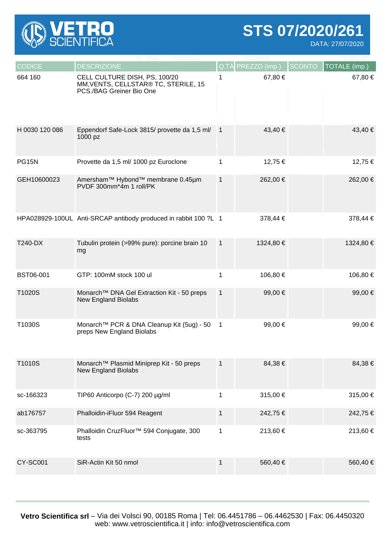

**STS 07/2020/261**

DATA: 27/07/2020

| <b>CODICE</b>    | <b>DESCRIZIONE</b>                                                                                |                  | Q.TÀ PREZZO (imp.) | <b>SCONTO</b> | TOTALE (imp.) |
|------------------|---------------------------------------------------------------------------------------------------|------------------|--------------------|---------------|---------------|
| 664 160          | CELL CULTURE DISH, PS, 100/20<br>MM, VENTS, CELLSTAR® TC, STERILE, 15<br>PCS./BAG Greiner Bio One |                  | 67,80 €            |               | 67,80 €       |
| H 0030 120 086   | Eppendorf Safe-Lock 3815/ provette da 1,5 ml/<br>1000 pz                                          | $\blacksquare$ 1 | 43,40 €            |               | 43,40 €       |
| <b>PG15N</b>     | Provette da 1,5 ml/ 1000 pz Euroclone                                                             | 1                | 12,75 €            |               | 12,75 €       |
| GEH10600023      | Amersham™ Hybond™ membrane 0.45µm<br>PVDF 300mm*4m 1 roll/PK                                      | $\mathbf{1}$     | 262,00 €           |               | 262,00 €      |
|                  | HPA028929-100UL Anti-SRCAP antibody produced in rabbit 100 ?L 1                                   |                  | 378,44 €           |               | 378,44 €      |
| T240-DX          | Tubulin protein (>99% pure): porcine brain 10<br>mg                                               | $\overline{1}$   | 1324,80 €          |               | 1324,80 €     |
| <b>BST06-001</b> | GTP: 100mM stock 100 ul                                                                           | 1                | 106,80 €           |               | 106,80 €      |
| T1020S           | Monarch <sup>™</sup> DNA Gel Extraction Kit - 50 preps<br><b>New England Biolabs</b>              | $\mathbf{1}$     | 99,00 €            |               | 99,00 €       |
| T1030S           | Monarch™ PCR & DNA Cleanup Kit (5ug) - 50<br>preps New England Biolabs                            | $\overline{1}$   | 99,00 €            |               | 99,00 €       |
| T1010S           | Monarch™ Plasmid Miniprep Kit - 50 preps<br><b>New England Biolabs</b>                            | $\mathbf{1}$     | 84,38 €            |               | 84,38 €       |
| sc-166323        | TIP60 Anticorpo (C-7) 200 µg/ml                                                                   | 1                | 315,00 €           |               | 315,00 €      |
| ab176757         | Phalloidin-iFluor 594 Reagent                                                                     | $\mathbf{1}$     | 242,75 €           |               | 242,75 €      |
| sc-363795        | Phalloidin CruzFluor <sup>™</sup> 594 Conjugate, 300<br>tests                                     | 1                | 213,60 €           |               | 213,60 €      |
| <b>CY-SC001</b>  | SiR-Actin Kit 50 nmol                                                                             | $\mathbf 1$      | 560,40 €           |               | 560,40 €      |